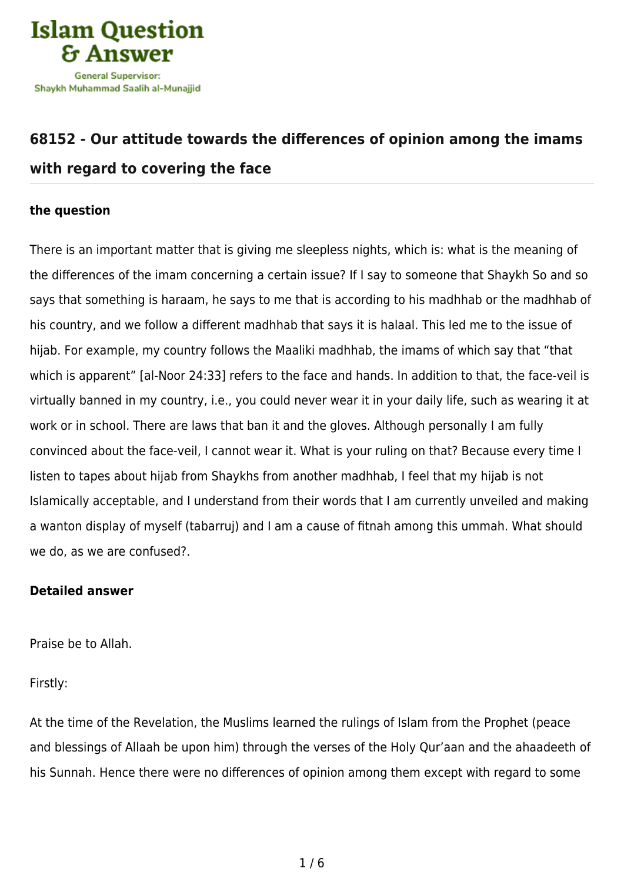

## **[68152 - Our attitude towards the differences of opinion among the imams](https://islamqa.com/en/answers/68152/our-attitude-towards-the-differences-of-opinion-among-the-imams-with-regard-to-covering-the-face) [with regard to covering the face](https://islamqa.com/en/answers/68152/our-attitude-towards-the-differences-of-opinion-among-the-imams-with-regard-to-covering-the-face)**

## **the question**

There is an important matter that is giving me sleepless nights, which is: what is the meaning of the differences of the imam concerning a certain issue? If I say to someone that Shaykh So and so says that something is haraam, he says to me that is according to his madhhab or the madhhab of his country, and we follow a different madhhab that says it is halaal. This led me to the issue of hijab. For example, my country follows the Maaliki madhhab, the imams of which say that "that which is apparent" [al-Noor 24:33] refers to the face and hands. In addition to that, the face-veil is virtually banned in my country, i.e., you could never wear it in your daily life, such as wearing it at work or in school. There are laws that ban it and the gloves. Although personally I am fully convinced about the face-veil, I cannot wear it. What is your ruling on that? Because every time I listen to tapes about hijab from Shaykhs from another madhhab, I feel that my hijab is not Islamically acceptable, and I understand from their words that I am currently unveiled and making a wanton display of myself (tabarruj) and I am a cause of fitnah among this ummah. What should we do, as we are confused?.

## **Detailed answer**

Praise be to Allah.

Firstly:

At the time of the Revelation, the Muslims learned the rulings of Islam from the Prophet (peace and blessings of Allaah be upon him) through the verses of the Holy Qur'aan and the ahaadeeth of his Sunnah. Hence there were no differences of opinion among them except with regard to some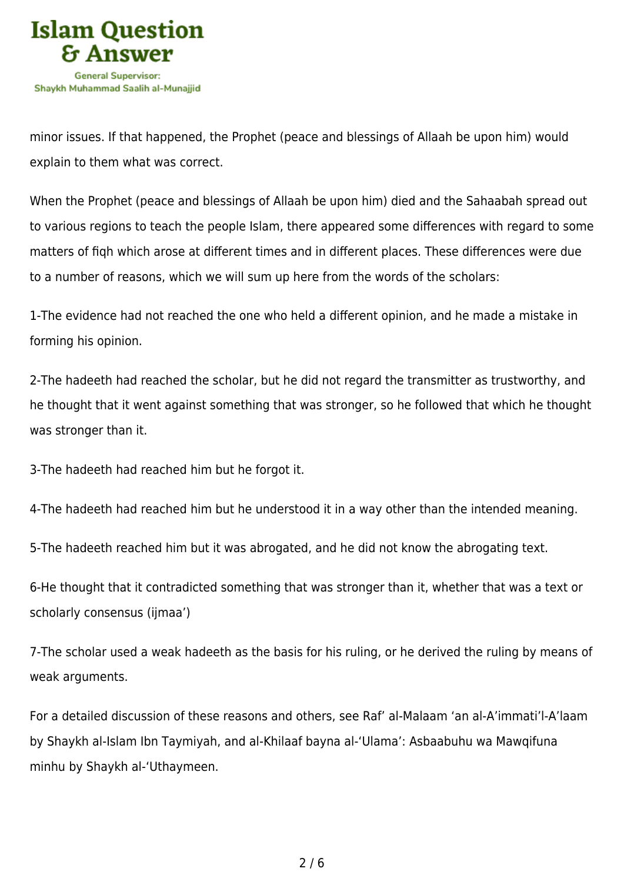

minor issues. If that happened, the Prophet (peace and blessings of Allaah be upon him) would explain to them what was correct.

When the Prophet (peace and blessings of Allaah be upon him) died and the Sahaabah spread out to various regions to teach the people Islam, there appeared some differences with regard to some matters of fiqh which arose at different times and in different places. These differences were due to a number of reasons, which we will sum up here from the words of the scholars:

1-The evidence had not reached the one who held a different opinion, and he made a mistake in forming his opinion.

2-The hadeeth had reached the scholar, but he did not regard the transmitter as trustworthy, and he thought that it went against something that was stronger, so he followed that which he thought was stronger than it.

3-The hadeeth had reached him but he forgot it.

4-The hadeeth had reached him but he understood it in a way other than the intended meaning.

5-The hadeeth reached him but it was abrogated, and he did not know the abrogating text.

6-He thought that it contradicted something that was stronger than it, whether that was a text or scholarly consensus (ijmaa')

7-The scholar used a weak hadeeth as the basis for his ruling, or he derived the ruling by means of weak arguments.

For a detailed discussion of these reasons and others, see Raf' al-Malaam 'an al-A'immati'l-A'laam by Shaykh al-Islam Ibn Taymiyah, and al-Khilaaf bayna al-'Ulama': Asbaabuhu wa Mawqifuna minhu by Shaykh al-'Uthaymeen.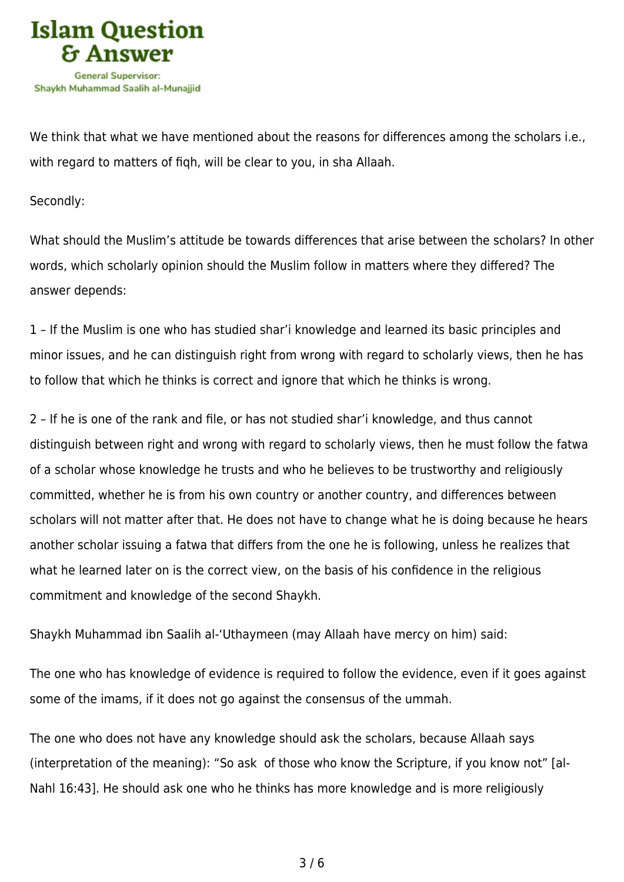

We think that what we have mentioned about the reasons for differences among the scholars i.e., with regard to matters of fiqh, will be clear to you, in sha Allaah.

Secondly:

What should the Muslim's attitude be towards differences that arise between the scholars? In other words, which scholarly opinion should the Muslim follow in matters where they differed? The answer depends:

1 – If the Muslim is one who has studied shar'i knowledge and learned its basic principles and minor issues, and he can distinguish right from wrong with regard to scholarly views, then he has to follow that which he thinks is correct and ignore that which he thinks is wrong.

2 – If he is one of the rank and file, or has not studied shar'i knowledge, and thus cannot distinguish between right and wrong with regard to scholarly views, then he must follow the fatwa of a scholar whose knowledge he trusts and who he believes to be trustworthy and religiously committed, whether he is from his own country or another country, and differences between scholars will not matter after that. He does not have to change what he is doing because he hears another scholar issuing a fatwa that differs from the one he is following, unless he realizes that what he learned later on is the correct view, on the basis of his confidence in the religious commitment and knowledge of the second Shaykh.

Shaykh Muhammad ibn Saalih al-'Uthaymeen (may Allaah have mercy on him) said:

The one who has knowledge of evidence is required to follow the evidence, even if it goes against some of the imams, if it does not go against the consensus of the ummah.

The one who does not have any knowledge should ask the scholars, because Allaah says (interpretation of the meaning): "So ask of those who know the Scripture, if you know not" [al-Nahl 16:43]. He should ask one who he thinks has more knowledge and is more religiously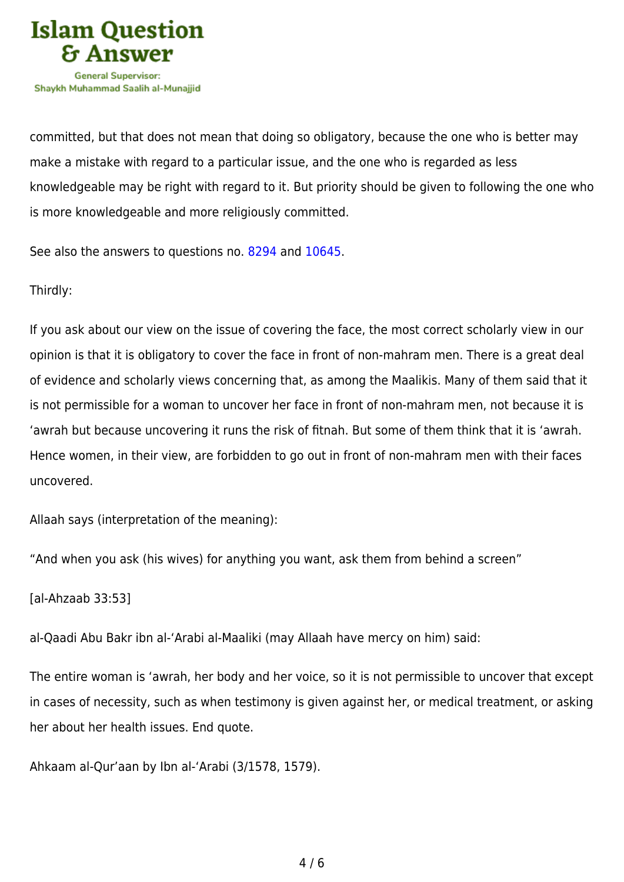

committed, but that does not mean that doing so obligatory, because the one who is better may make a mistake with regard to a particular issue, and the one who is regarded as less knowledgeable may be right with regard to it. But priority should be given to following the one who is more knowledgeable and more religiously committed.

See also the answers to questions no. [8294](https://islamqa.com/en/answers/8294) and [10645.](https://islamqa.com/en/answers/10645)

Thirdly:

If you ask about our view on the issue of covering the face, the most correct scholarly view in our opinion is that it is obligatory to cover the face in front of non-mahram men. There is a great deal of evidence and scholarly views concerning that, as among the Maalikis. Many of them said that it is not permissible for a woman to uncover her face in front of non-mahram men, not because it is 'awrah but because uncovering it runs the risk of fitnah. But some of them think that it is 'awrah. Hence women, in their view, are forbidden to go out in front of non-mahram men with their faces uncovered.

Allaah says (interpretation of the meaning):

"And when you ask (his wives) for anything you want, ask them from behind a screen"

[al-Ahzaab 33:53]

al-Qaadi Abu Bakr ibn al-'Arabi al-Maaliki (may Allaah have mercy on him) said:

The entire woman is 'awrah, her body and her voice, so it is not permissible to uncover that except in cases of necessity, such as when testimony is given against her, or medical treatment, or asking her about her health issues. End quote.

Ahkaam al-Qur'aan by Ibn al-'Arabi (3/1578, 1579).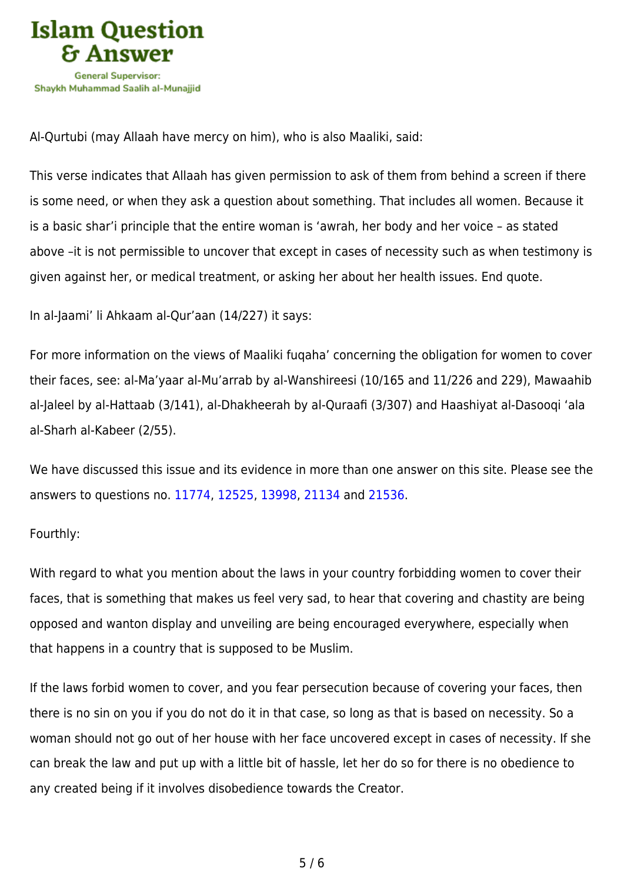

Al-Qurtubi (may Allaah have mercy on him), who is also Maaliki, said:

This verse indicates that Allaah has given permission to ask of them from behind a screen if there is some need, or when they ask a question about something. That includes all women. Because it is a basic shar'i principle that the entire woman is 'awrah, her body and her voice – as stated above –it is not permissible to uncover that except in cases of necessity such as when testimony is given against her, or medical treatment, or asking her about her health issues. End quote.

In al-Jaami' li Ahkaam al-Qur'aan (14/227) it says:

For more information on the views of Maaliki fuqaha' concerning the obligation for women to cover their faces, see: al-Ma'yaar al-Mu'arrab by al-Wanshireesi (10/165 and 11/226 and 229), Mawaahib al-Jaleel by al-Hattaab (3/141), al-Dhakheerah by al-Quraafi (3/307) and Haashiyat al-Dasooqi 'ala al-Sharh al-Kabeer (2/55).

We have discussed this issue and its evidence in more than one answer on this site. Please see the answers to questions no. [11774](https://islamqa.com/en/answers/11774), [12525](https://islamqa.com/en/answers/12525), [13998](https://islamqa.com/en/answers/13998), [21134](https://islamqa.com/en/answers/21134) and [21536](https://islamqa.com/en/answers/21536).

## Fourthly:

With regard to what you mention about the laws in your country forbidding women to cover their faces, that is something that makes us feel very sad, to hear that covering and chastity are being opposed and wanton display and unveiling are being encouraged everywhere, especially when that happens in a country that is supposed to be Muslim.

If the laws forbid women to cover, and you fear persecution because of covering your faces, then there is no sin on you if you do not do it in that case, so long as that is based on necessity. So a woman should not go out of her house with her face uncovered except in cases of necessity. If she can break the law and put up with a little bit of hassle, let her do so for there is no obedience to any created being if it involves disobedience towards the Creator.